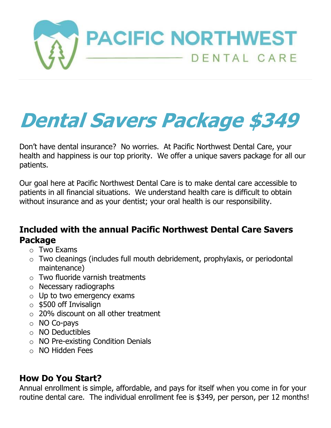

## **Dental Savers Package \$349**

Don't have dental insurance? No worries. At Pacific Northwest Dental Care, your health and happiness is our top priority. We offer a unique savers package for all our patients.

Our goal here at Pacific Northwest Dental Care is to make dental care accessible to patients in all financial situations. We understand health care is difficult to obtain without insurance and as your dentist; your oral health is our responsibility.

## **Included with the annual Pacific Northwest Dental Care Savers Package**

- $\circ$  Two Exams
- $\circ$  Two cleanings (includes full mouth debridement, prophylaxis, or periodontal maintenance)
- $\circ$  Two fluoride varnish treatments
- o Necessary radiographs
- $\circ$  Up to two emergency exams
- $\circ$  \$500 off Invisalign
- o 20% discount on all other treatment
- o NO Co-pays
- o NO Deductibles
- o NO Pre-existing Condition Denials
- o NO Hidden Fees

## **How Do You Start?**

Annual enrollment is simple, affordable, and pays for itself when you come in for your routine dental care. The individual enrollment fee is \$349, per person, per 12 months!